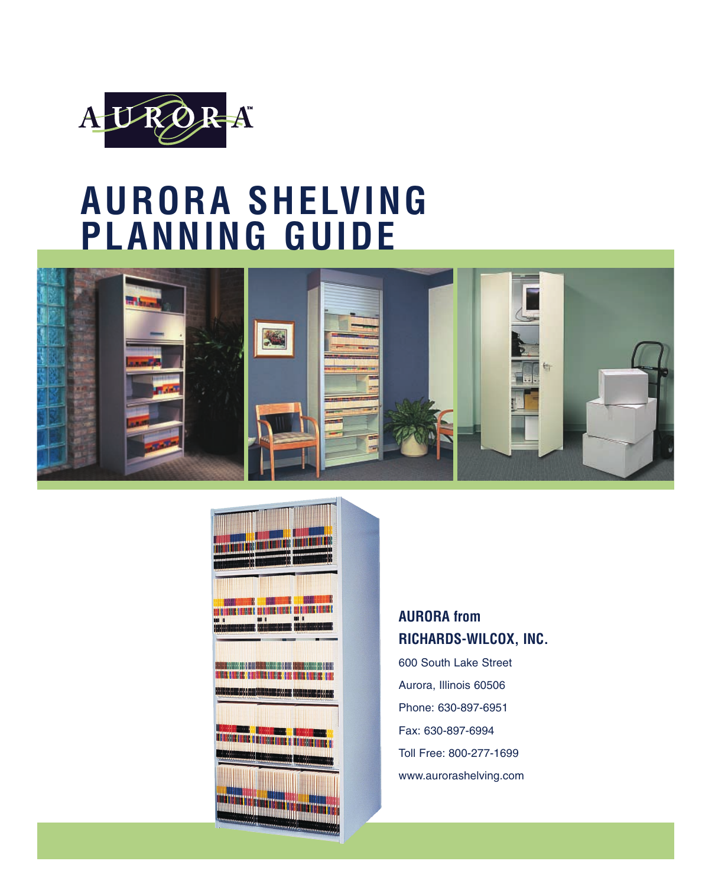

# **AURORA SHELVING PLANNING GUIDE**





### **AURORA from RICHARDS-WILCOX, INC.**

600 South Lake Street Aurora, Illinois 60506 Phone: 630-897-6951 Fax: 630-897-6994 Toll Free: 800-277-1699 www.aurorashelving.com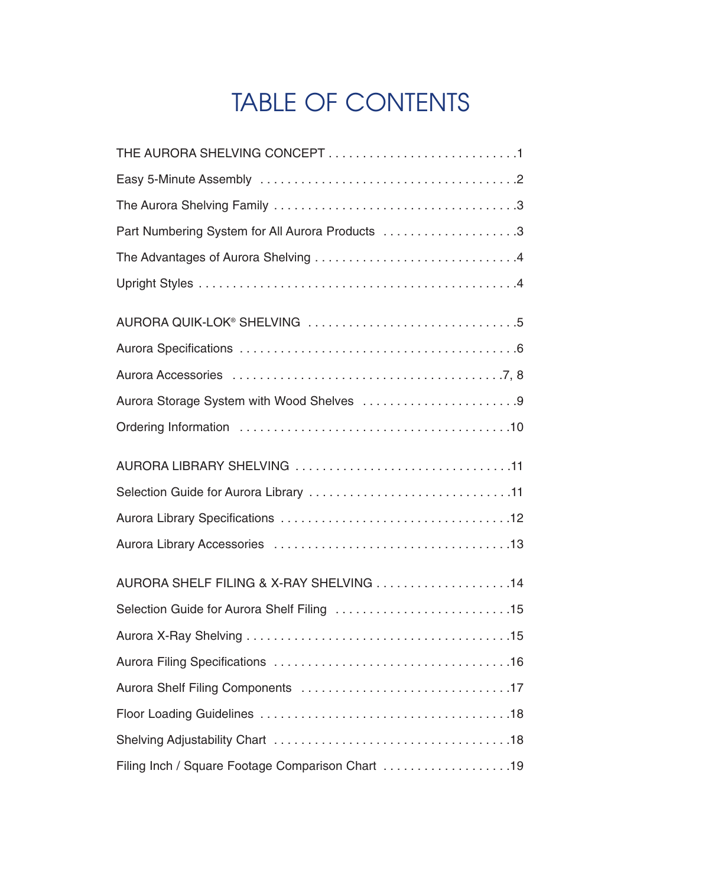# TABLE OF CONTENTS

| Aurora Storage System with Wood Shelves 9        |
|--------------------------------------------------|
|                                                  |
|                                                  |
|                                                  |
|                                                  |
|                                                  |
| AURORA SHELF FILING & X-RAY SHELVING 14          |
|                                                  |
|                                                  |
|                                                  |
|                                                  |
|                                                  |
|                                                  |
| Filing Inch / Square Footage Comparison Chart 19 |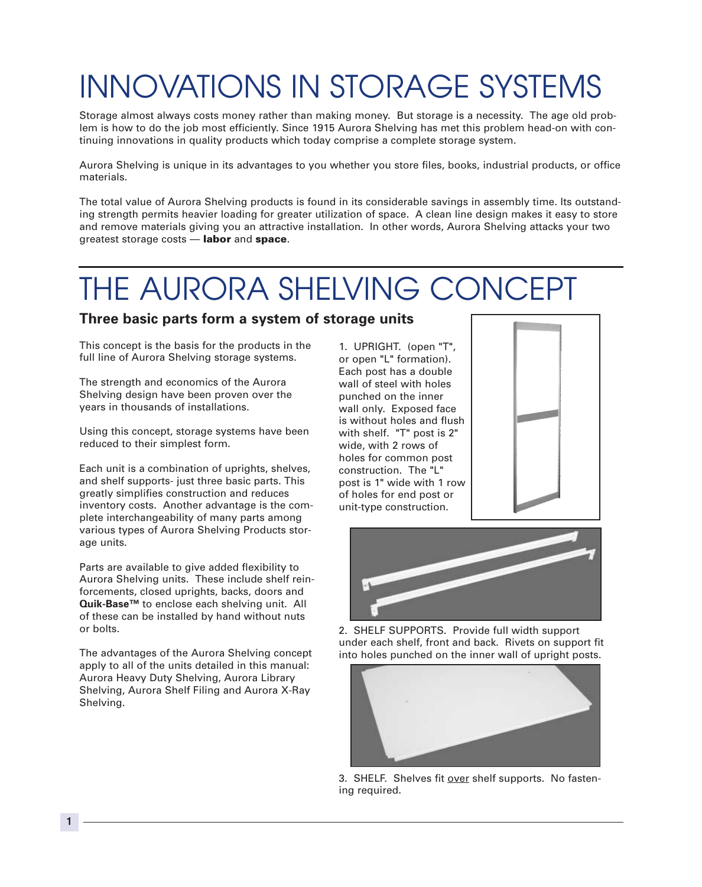# INNOVATIONS IN STORAGE SYSTEMS

Storage almost always costs money rather than making money. But storage is a necessity. The age old problem is how to do the job most efficiently. Since 1915 Aurora Shelving has met this problem head-on with continuing innovations in quality products which today comprise a complete storage system.

Aurora Shelving is unique in its advantages to you whether you store files, books, industrial products, or office materials.

The total value of Aurora Shelving products is found in its considerable savings in assembly time. Its outstanding strength permits heavier loading for greater utilization of space. A clean line design makes it easy to store and remove materials giving you an attractive installation. In other words, Aurora Shelving attacks your two greatest storage costs — labor and space.

# THE AURORA SHELVING CONCEPT

### **Three basic parts form a system of storage units**

This concept is the basis for the products in the full line of Aurora Shelving storage systems.

The strength and economics of the Aurora Shelving design have been proven over the years in thousands of installations.

Using this concept, storage systems have been reduced to their simplest form.

Each unit is a combination of uprights, shelves, and shelf supports- just three basic parts. This greatly simplifies construction and reduces inventory costs. Another advantage is the complete interchangeability of many parts among various types of Aurora Shelving Products storage units.

Parts are available to give added flexibility to Aurora Shelving units. These include shelf reinforcements, closed uprights, backs, doors and **Quik-Base™** to enclose each shelving unit. All of these can be installed by hand without nuts or bolts.

The advantages of the Aurora Shelving concept apply to all of the units detailed in this manual: Aurora Heavy Duty Shelving, Aurora Library Shelving, Aurora Shelf Filing and Aurora X-Ray Shelving.

1. UPRIGHT. (open "T", or open "L" formation). Each post has a double wall of steel with holes punched on the inner wall only. Exposed face is without holes and flush with shelf. "T" post is 2" wide, with 2 rows of holes for common post construction. The "L" post is 1" wide with 1 row of holes for end post or unit-type construction.





2. SHELF SUPPORTS. Provide full width support under each shelf, front and back. Rivets on support fit into holes punched on the inner wall of upright posts.



3. SHELF. Shelves fit over shelf supports. No fastening required.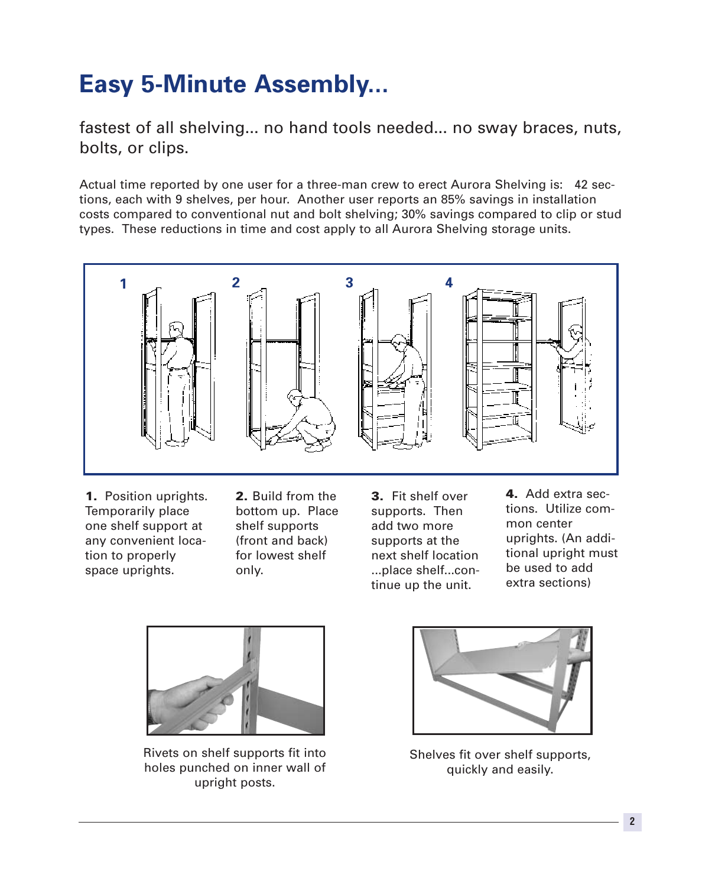# **Easy 5-Minute Assembly...**

fastest of all shelving... no hand tools needed... no sway braces, nuts, bolts, or clips.

Actual time reported by one user for a three-man crew to erect Aurora Shelving is: 42 sections, each with 9 shelves, per hour. Another user reports an 85% savings in installation costs compared to conventional nut and bolt shelving; 30% savings compared to clip or stud types. These reductions in time and cost apply to all Aurora Shelving storage units.



1. Position uprights. Temporarily place one shelf support at any convenient location to properly space uprights.

2. Build from the bottom up. Place shelf supports (front and back) for lowest shelf only.

3. Fit shelf over supports. Then add two more supports at the next shelf location ...place shelf...continue up the unit.

4. Add extra sections. Utilize common center uprights. (An additional upright must be used to add extra sections)



Rivets on shelf supports fit into holes punched on inner wall of upright posts.



Shelves fit over shelf supports, quickly and easily.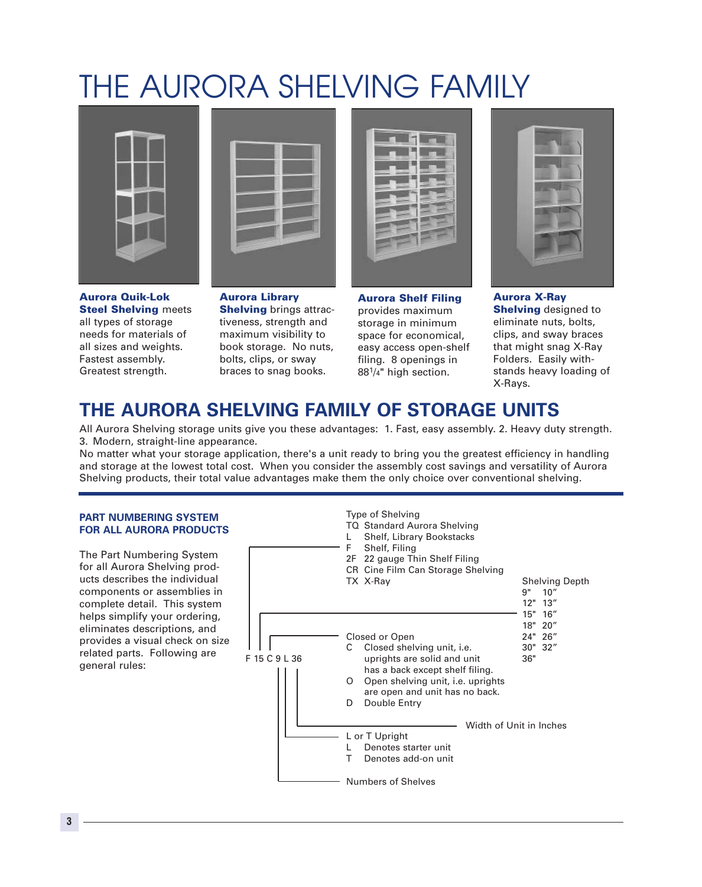# THE AURORA SHELVING FAMILY



Aurora Quik-Lok Steel Shelving meets all types of storage needs for materials of all sizes and weights. Fastest assembly. Greatest strength.



Aurora Library Shelving brings attractiveness, strength and maximum visibility to book storage. No nuts, bolts, clips, or sway braces to snag books.



Aurora Shelf Filing provides maximum storage in minimum space for economical, easy access open-shelf filing. 8 openings in 881/4" high section.



Aurora X-Ray **Shelving** designed to eliminate nuts, bolts, clips, and sway braces that might snag X-Ray Folders. Easily withstands heavy loading of X-Rays.

# **THE AURORA SHELVING FAMILY OF STORAGE UNITS**

All Aurora Shelving storage units give you these advantages: 1. Fast, easy assembly. 2. Heavy duty strength. 3. Modern, straight-line appearance.

No matter what your storage application, there's a unit ready to bring you the greatest efficiency in handling and storage at the lowest total cost. When you consider the assembly cost savings and versatility of Aurora Shelving products, their total value advantages make them the only choice over conventional shelving.

### **PART NUMBERING SYSTEM FOR ALL AURORA PRODUCTS**

The Part Numbering System for all Aurora Shelving products describes the individual components or assemblies in complete detail. This system helps simplify your ordering, eliminates descriptions, and provides a visual check on size related parts. Following are general rules:

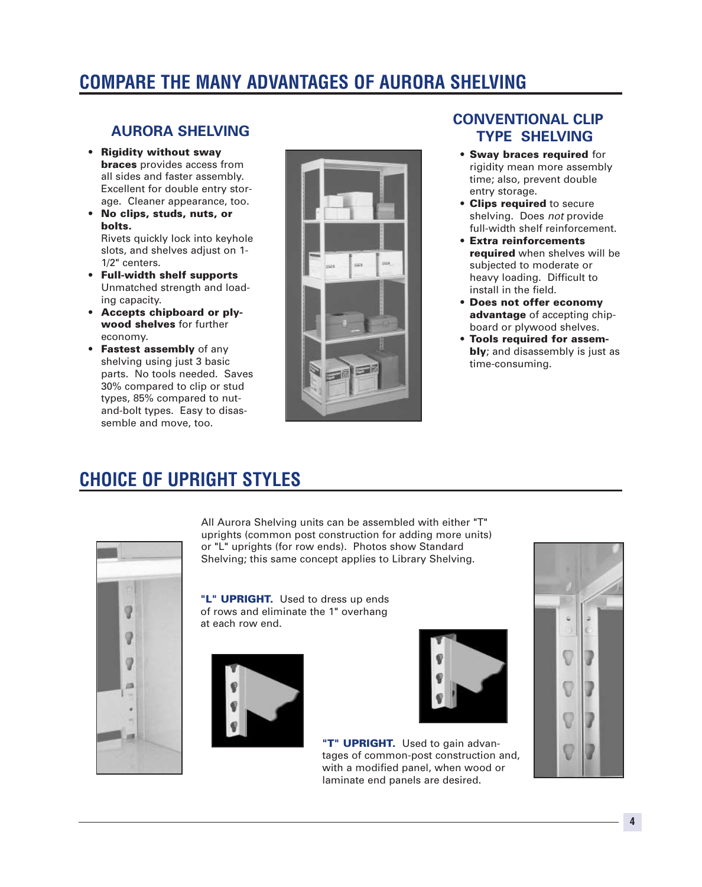# **COMPARE THE MANY ADVANTAGES OF AURORA SHELVING**

### **AURORA SHELVING**

- Rigidity without sway **braces** provides access from all sides and faster assembly. Excellent for double entry storage. Cleaner appearance, too.
- No clips, studs, nuts, or bolts.

Rivets quickly lock into keyhole slots, and shelves adjust on 1- 1/2" centers.

- Full-width shelf supports Unmatched strength and loading capacity.
- Accepts chipboard or plywood shelves for further economy.
- Fastest assembly of any shelving using just 3 basic parts. No tools needed. Saves 30% compared to clip or stud types, 85% compared to nutand-bolt types. Easy to disassemble and move, too.



### **CONVENTIONAL CLIP TYPE SHELVING**

- Sway braces required for rigidity mean more assembly time; also, prevent double entry storage.
- Clips required to secure shelving. Does *not* provide full-width shelf reinforcement.
- Extra reinforcements required when shelves will be subjected to moderate or heavy loading. Difficult to install in the field.
- Does not offer economy advantage of accepting chipboard or plywood shelves.
- Tools required for assemblv: and disassembly is just as time-consuming.

## **CHOICE OF UPRIGHT STYLES**



All Aurora Shelving units can be assembled with either "T" uprights (common post construction for adding more units) or "L" uprights (for row ends). Photos show Standard Shelving; this same concept applies to Library Shelving.

"L" **UPRIGHT.** Used to dress up ends of rows and eliminate the 1" overhang at each row end.





"T" UPRIGHT. Used to gain advantages of common-post construction and, with a modified panel, when wood or laminate end panels are desired.

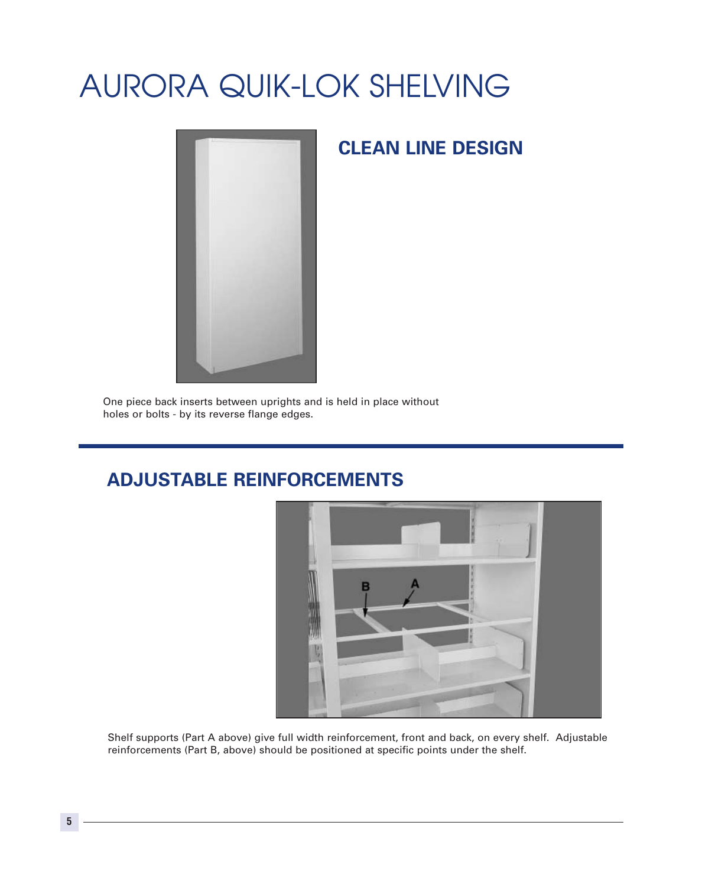# AURORA QUIK-LOK SHELVING



## **CLEAN LINE DESIGN**

One piece back inserts between uprights and is held in place without holes or bolts - by its reverse flange edges.

## **ADJUSTABLE REINFORCEMENTS**



Shelf supports (Part A above) give full width reinforcement, front and back, on every shelf. Adjustable reinforcements (Part B, above) should be positioned at specific points under the shelf.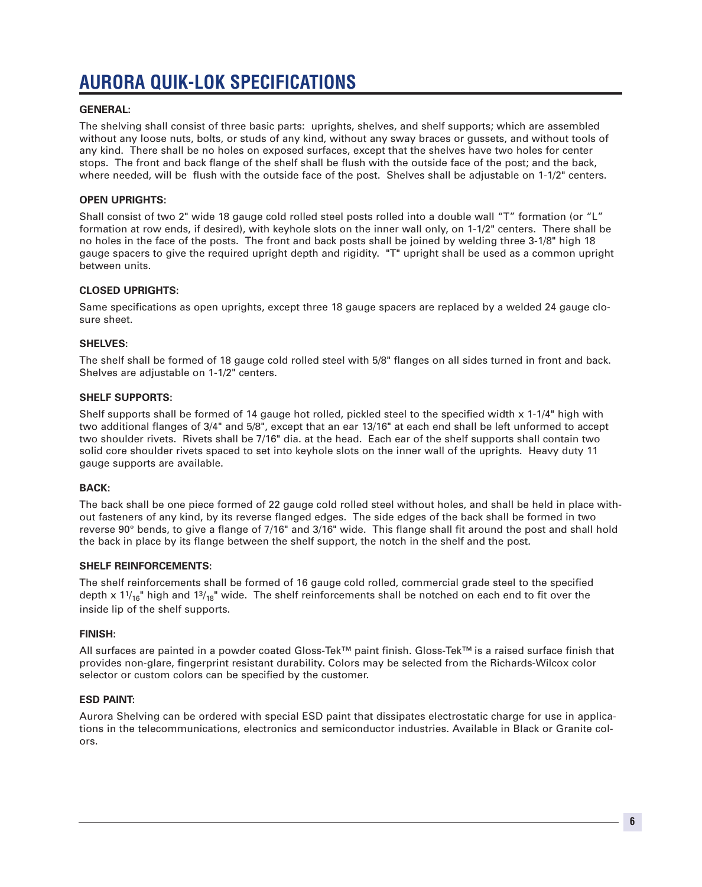# **AURORA QUIK-LOK SPECIFICATIONS**

### **GENERAL:**

The shelving shall consist of three basic parts: uprights, shelves, and shelf supports; which are assembled without any loose nuts, bolts, or studs of any kind, without any sway braces or gussets, and without tools of any kind. There shall be no holes on exposed surfaces, except that the shelves have two holes for center stops. The front and back flange of the shelf shall be flush with the outside face of the post; and the back, where needed, will be flush with the outside face of the post. Shelves shall be adjustable on 1-1/2" centers.

### **OPEN UPRIGHTS:**

Shall consist of two 2" wide 18 gauge cold rolled steel posts rolled into a double wall "T" formation (or "L" formation at row ends, if desired), with keyhole slots on the inner wall only, on 1-1/2" centers. There shall be no holes in the face of the posts. The front and back posts shall be joined by welding three 3-1/8" high 18 gauge spacers to give the required upright depth and rigidity. "T" upright shall be used as a common upright between units.

### **CLOSED UPRIGHTS:**

Same specifications as open uprights, except three 18 gauge spacers are replaced by a welded 24 gauge closure sheet.

### **SHELVES:**

The shelf shall be formed of 18 gauge cold rolled steel with 5/8" flanges on all sides turned in front and back. Shelves are adjustable on 1-1/2" centers.

### **SHELF SUPPORTS:**

Shelf supports shall be formed of 14 gauge hot rolled, pickled steel to the specified width x 1-1/4" high with two additional flanges of 3/4" and 5/8", except that an ear 13/16" at each end shall be left unformed to accept two shoulder rivets. Rivets shall be 7/16" dia. at the head. Each ear of the shelf supports shall contain two solid core shoulder rivets spaced to set into keyhole slots on the inner wall of the uprights. Heavy duty 11 gauge supports are available.

### **BACK:**

The back shall be one piece formed of 22 gauge cold rolled steel without holes, and shall be held in place without fasteners of any kind, by its reverse flanged edges. The side edges of the back shall be formed in two reverse 90° bends, to give a flange of 7/16" and 3/16" wide. This flange shall fit around the post and shall hold the back in place by its flange between the shelf support, the notch in the shelf and the post.

### **SHELF REINFORCEMENTS:**

The shelf reinforcements shall be formed of 16 gauge cold rolled, commercial grade steel to the specified depth x  $11_{16}$ " high and  $13_{18}$ " wide. The shelf reinforcements shall be notched on each end to fit over the inside lip of the shelf supports.

### **FINISH:**

All surfaces are painted in a powder coated Gloss-Tek™ paint finish. Gloss-Tek™ is a raised surface finish that provides non-glare, fingerprint resistant durability. Colors may be selected from the Richards-Wilcox color selector or custom colors can be specified by the customer.

### **ESD PAINT:**

Aurora Shelving can be ordered with special ESD paint that dissipates electrostatic charge for use in applications in the telecommunications, electronics and semiconductor industries. Available in Black or Granite colors.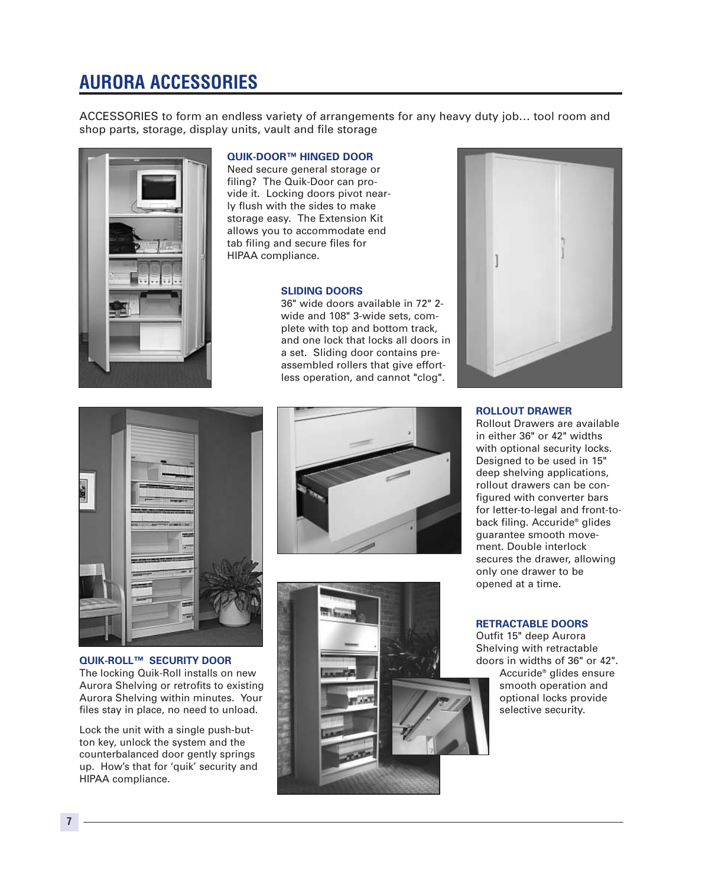# **AURORA ACCESSORIES**

ACCESSORIES to form an endless variety of arrangements for any heavy duty job… tool room and shop parts, storage, display units, vault and file storage



### **QUIK-DOOR™ HINGED DOOR**

Need secure general storage or filing? The Quik-Door can provide it. Locking doors pivot nearly flush with the sides to make storage easy. The Extension Kit allows you to accommodate end tab filing and secure files for HIPAA compliance.

### **SLIDING DOORS**

36" wide doors available in 72" 2 wide and 108" 3-wide sets, complete with top and bottom track, and one lock that locks all doors in a set. Sliding door contains preassembled rollers that give effortless operation, and cannot "clog".





### **QUIK-ROLL™ SECURITY DOOR**

The locking Quik-Roll installs on new Aurora Shelving or retrofits to existing Aurora Shelving within minutes. Your files stay in place, no need to unload.

Lock the unit with a single push-button key, unlock the system and the counterbalanced door gently springs up. How's that for 'quik' security and HIPAA compliance.





### **ROLLOUT DRAWER**

Rollout Drawers are available in either 36" or 42" widths with optional security locks. Designed to be used in 15" deep shelving applications, rollout drawers can be configured with converter bars for letter-to-legal and front-toback filing. Accuride® glides guarantee smooth movement. Double interlock secures the drawer, allowing only one drawer to be opened at a time.

### **RETRACTABLE DOORS**

Outfit 15" deep Aurora Shelving with retractable doors in widths of 36" or 42".

Accuride® glides ensure smooth operation and optional locks provide selective security.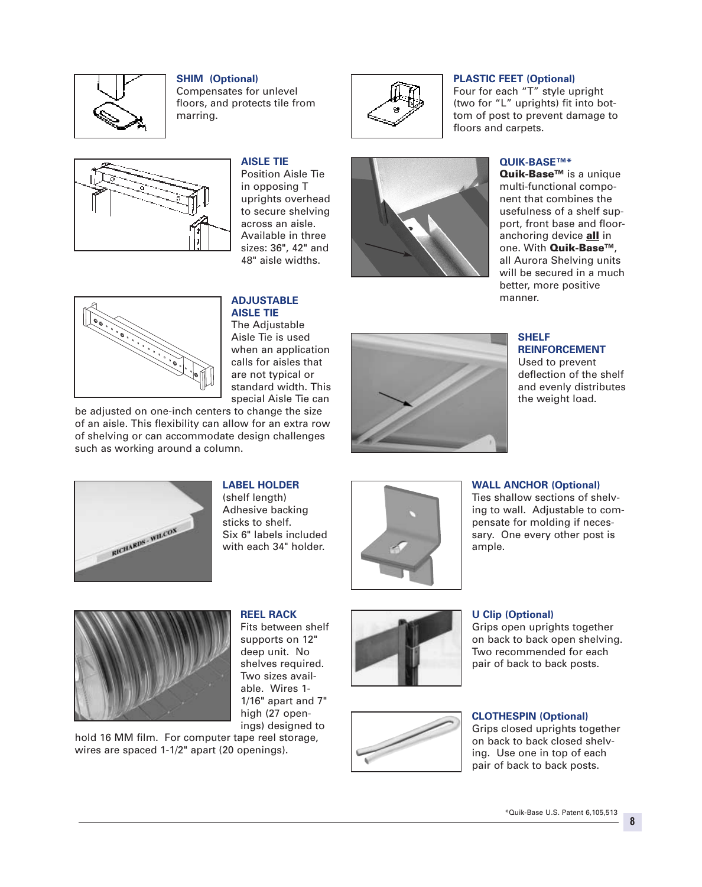

### **SHIM (Optional)**

Compensates for unlevel floors, and protects tile from marring.



### **PLASTIC FEET (Optional)**

Four for each "T" style upright (two for "L" uprights) fit into bottom of post to prevent damage to floors and carpets.



### **AISLE TIE**

Position Aisle Tie in opposing T uprights overhead to secure shelving across an aisle. Available in three sizes: 36", 42" and 48" aisle widths.



### **QUIK-BASE™\***

Quik-Base<sup>™</sup> is a unique multi-functional component that combines the usefulness of a shelf support, front base and flooranchoring device **all** in one. With Quik-Base™, all Aurora Shelving units will be secured in a much better, more positive manner.



#### **ADJUSTABLE AISLE TIE**

The Adjustable Aisle Tie is used when an application calls for aisles that are not typical or standard width. This special Aisle Tie can

be adjusted on one-inch centers to change the size of an aisle. This flexibility can allow for an extra row of shelving or can accommodate design challenges such as working around a column.



### **SHELF REINFORCEMENT**

Used to prevent deflection of the shelf and evenly distributes the weight load.



### **LABEL HOLDER**

(shelf length) Adhesive backing sticks to shelf. Six 6" labels included with each 34" holder.



### **WALL ANCHOR (Optional)**

Ties shallow sections of shelving to wall. Adjustable to compensate for molding if necessary. One every other post is ample.



**REEL RACK**

Fits between shelf supports on 12" deep unit. No shelves required. Two sizes available. Wires 1- 1/16" apart and 7" high (27 openings) designed to

hold 16 MM film. For computer tape reel storage, wires are spaced 1-1/2" apart (20 openings).





### **U Clip (Optional)**

Grips open uprights together on back to back open shelving. Two recommended for each pair of back to back posts.

### **CLOTHESPIN (Optional)**

Grips closed uprights together on back to back closed shelving. Use one in top of each pair of back to back posts.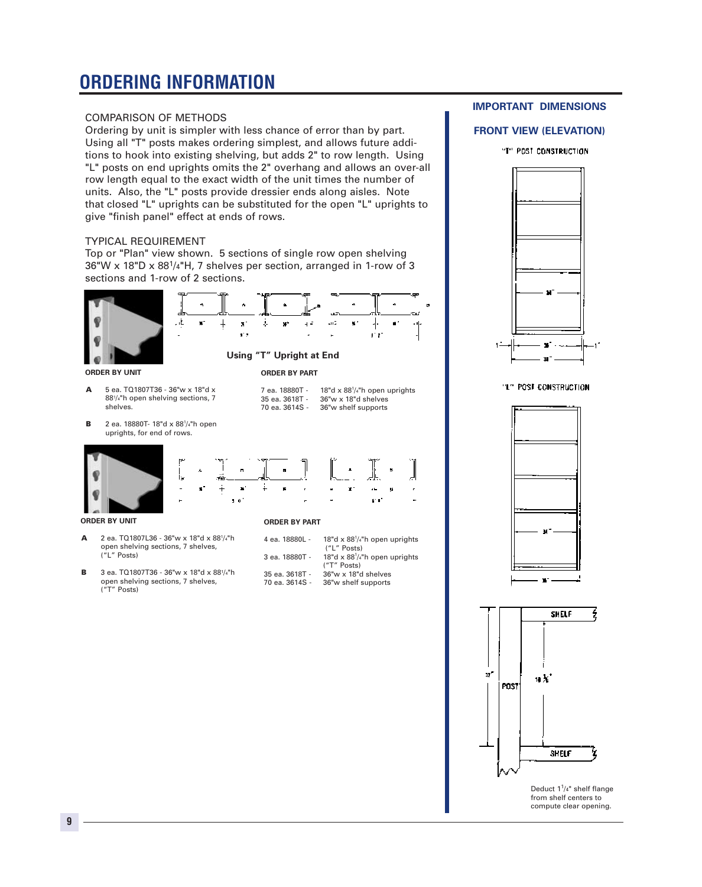# **ORDERING INFORMATION**

### COMPARISON OF METHODS

Ordering by unit is simpler with less chance of error than by part. Using all "T" posts makes ordering simplest, and allows future additions to hook into existing shelving, but adds 2" to row length. Using "L" posts on end uprights omits the 2" overhang and allows an over-all row length equal to the exact width of the unit times the number of units. Also, the "L" posts provide dressier ends along aisles. Note that closed "L" uprights can be substituted for the open "L" uprights to give "finish panel" effect at ends of rows.

### TYPICAL REQUIREMENT

Top or "Plan" view shown. 5 sections of single row open shelving 36"W x 18"D x 881/4"H, 7 shelves per section, arranged in 1-row of 3 sections and 1-row of 2 sections.

 $\mathbf{x}$ 

ar s

 $\ddagger$ 



**ORDER BY UNIT**

A 5 ea. TQ1807T36 - 36"w x 18"d x 881/4"h open shelving sections, 7 shelves.

, Ł

¥,

**B** 2 ea. 18880T- 18"d x 88<sup>1</sup>/4"h open uprights, for end of rows.



¥.

**ORDER BY UNIT**

- A 2 ea. TQ1807L36 36"w x 18"d x 881/4"h open shelving sections, 7 shelves, ("L" Posts)
- B 3 ea. TQ1807T36 36"w x 18"d x 881/4"h open shelving sections, 7 shelves, ("T" Posts)

**ORDER BY PART** 7 ea. 18880T -

 $\frac{1}{2}$ 

an I

**Using "T" Upright at End**

x,

÷.

35 ea. 3618T - 36"w x 18"d shelves

| 4 ea. 18880L - | 18"d $\times$ 88 <sup>1</sup> /4"h open uprights              |
|----------------|---------------------------------------------------------------|
|                | ("L" Posts)                                                   |
| 3 ea. 18880T - | 18"d $\times$ 88 <sup>1</sup> / <sub>4</sub> "h open uprights |
|                | $('T''$ Posts)                                                |
| 35 ea. 3618T - | 36"w x 18"d shelves                                           |
| 70 ea. 3614S - | 36"w shelf supports                                           |
|                |                                                               |

18"d  $\times$  88 $\frac{1}{4}$ "h open uprights

r r

36"w shelf supports

ĸ.

### **IMPORTANT DIMENSIONS**

### **FRONT VIEW (ELEVATION)**

"T" POST CONSTRUCTION



### "L" POST CONSTRUCTION





Deduct  $1<sup>1</sup>/4$ " shelf flange from shelf centers to compute clear opening.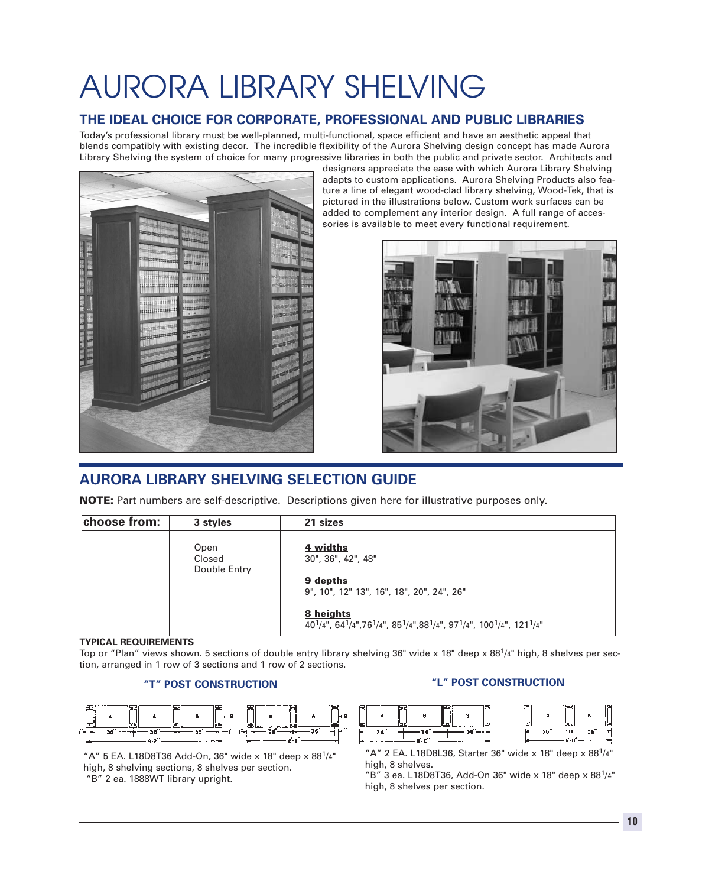# AURORA LIBRARY SHELVING

### **THE IDEAL CHOICE FOR CORPORATE, PROFESSIONAL AND PUBLIC LIBRARIES**

Today's professional library must be well-planned, multi-functional, space efficient and have an aesthetic appeal that blends compatibly with existing decor. The incredible flexibility of the Aurora Shelving design concept has made Aurora Library Shelving the system of choice for many progressive libraries in both the public and private sector. Architects and



designers appreciate the ease with which Aurora Library Shelving adapts to custom applications. Aurora Shelving Products also feature a line of elegant wood-clad library shelving, Wood-Tek, that is pictured in the illustrations below. Custom work surfaces can be added to complement any interior design. A full range of accessories is available to meet every functional requirement.



### **AURORA LIBRARY SHELVING SELECTION GUIDE**

NOTE: Part numbers are self-descriptive. Descriptions given here for illustrative purposes only.

| choose from: | 3 styles                       | 21 sizes                                                                                                                                                                              |
|--------------|--------------------------------|---------------------------------------------------------------------------------------------------------------------------------------------------------------------------------------|
|              | Open<br>Closed<br>Double Entry | 4 widths<br>30", 36", 42", 48"<br>9 depths<br>9", 10", 12" 13", 16", 18", 20", 24", 26"                                                                                               |
|              |                                | 8 heights<br>40 <sup>1</sup> /4", 64 <sup>1</sup> /4", 76 <sup>1</sup> /4", 85 <sup>1</sup> /4", 88 <sup>1</sup> /4", 97 <sup>1</sup> /4", 100 <sup>1</sup> /4", 121 <sup>1</sup> /4" |

### **TYPICAL REQUIREMENTS**

Top or "Plan" views shown. 5 sections of double entry library shelving 36" wide x 18" deep x  $88<sup>1</sup>/4$ " high, 8 shelves per section, arranged in 1 row of 3 sections and 1 row of 2 sections.

### **"T" POST CONSTRUCTION**



"A" 5 EA. L18D8T36 Add-On, 36" wide x 18" deep x 88 $1/4$ " high, 8 shelving sections, 8 shelves per section. "B" 2 ea. 1888WT library upright.

### **"L" POST CONSTRUCTION**



"A" 2 EA. L18D8L36, Starter 36" wide x 18" deep x 88 $1/4$ " high, 8 shelves.

 $"B"$  3 ea. L18D8T36, Add-On 36" wide x 18" deep x 88 $1/4"$ high, 8 shelves per section.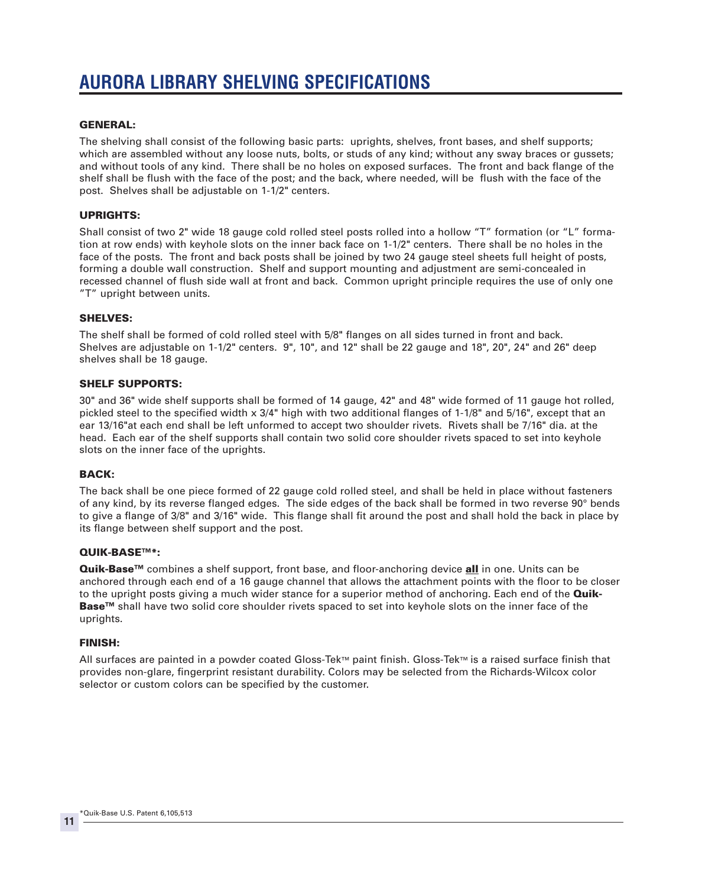### GENERAL:

The shelving shall consist of the following basic parts: uprights, shelves, front bases, and shelf supports; which are assembled without any loose nuts, bolts, or studs of any kind; without any sway braces or gussets; and without tools of any kind. There shall be no holes on exposed surfaces. The front and back flange of the shelf shall be flush with the face of the post; and the back, where needed, will be flush with the face of the post. Shelves shall be adjustable on 1-1/2" centers.

### UPRIGHTS:

Shall consist of two 2" wide 18 gauge cold rolled steel posts rolled into a hollow "T" formation (or "L" formation at row ends) with keyhole slots on the inner back face on 1-1/2" centers. There shall be no holes in the face of the posts. The front and back posts shall be joined by two 24 gauge steel sheets full height of posts, forming a double wall construction. Shelf and support mounting and adjustment are semi-concealed in recessed channel of flush side wall at front and back. Common upright principle requires the use of only one "T" upright between units.

### SHELVES:

The shelf shall be formed of cold rolled steel with 5/8" flanges on all sides turned in front and back. Shelves are adjustable on 1-1/2" centers. 9", 10", and 12" shall be 22 gauge and 18", 20", 24" and 26" deep shelves shall be 18 gauge.

### SHELF SUPPORTS:

30" and 36" wide shelf supports shall be formed of 14 gauge, 42" and 48" wide formed of 11 gauge hot rolled, pickled steel to the specified width x 3/4" high with two additional flanges of 1-1/8" and 5/16", except that an ear 13/16"at each end shall be left unformed to accept two shoulder rivets. Rivets shall be 7/16" dia. at the head. Each ear of the shelf supports shall contain two solid core shoulder rivets spaced to set into keyhole slots on the inner face of the uprights.

### BACK:

The back shall be one piece formed of 22 gauge cold rolled steel, and shall be held in place without fasteners of any kind, by its reverse flanged edges. The side edges of the back shall be formed in two reverse 90° bends to give a flange of 3/8" and 3/16" wide. This flange shall fit around the post and shall hold the back in place by its flange between shelf support and the post.

### QUIK-BASE™\*:

Quik-Base<sup>™</sup> combines a shelf support, front base, and floor-anchoring device all in one. Units can be anchored through each end of a 16 gauge channel that allows the attachment points with the floor to be closer to the upright posts giving a much wider stance for a superior method of anchoring. Each end of the **Quik-**Base<sup>™</sup> shall have two solid core shoulder rivets spaced to set into keyhole slots on the inner face of the uprights.

### FINISH:

All surfaces are painted in a powder coated Gloss-Tek™ paint finish. Gloss-Tek™ is a raised surface finish that provides non-glare, fingerprint resistant durability. Colors may be selected from the Richards-Wilcox color selector or custom colors can be specified by the customer.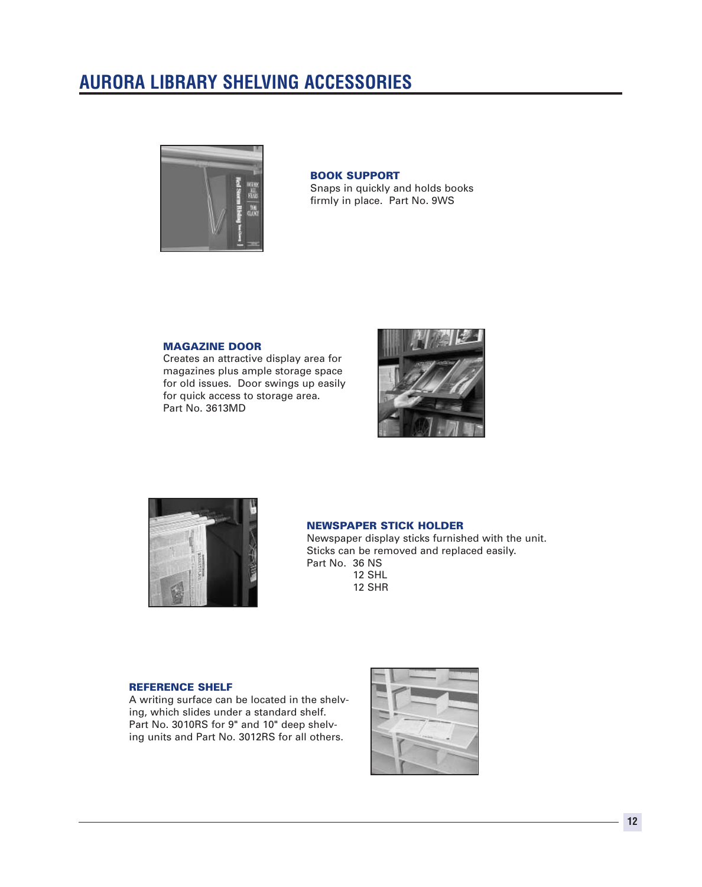## **AURORA LIBRARY SHELVING ACCESSORIES**



### BOOK SUPPORT

Snaps in quickly and holds books firmly in place. Part No. 9WS

### MAGAZINE DOOR

Creates an attractive display area for magazines plus ample storage space for old issues. Door swings up easily for quick access to storage area. Part No. 3613MD





### NEWSPAPER STICK HOLDER

Newspaper display sticks furnished with the unit. Sticks can be removed and replaced easily. Part No. 36 NS 12 SHL 12 SHR

### REFERENCE SHELF

A writing surface can be located in the shelving, which slides under a standard shelf. Part No. 3010RS for 9" and 10" deep shelving units and Part No. 3012RS for all others.

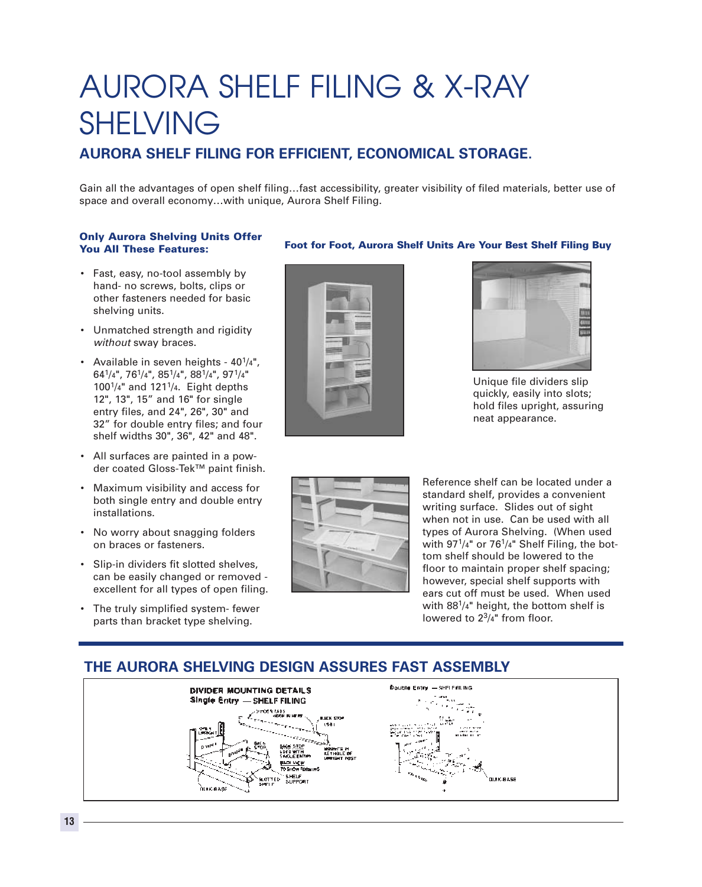# AURORA SHELF FILING & X-RAY SHELVING

### **AURORA SHELF FILING FOR EFFICIENT, ECONOMICAL STORAGE.**

Gain all the advantages of open shelf filing…fast accessibility, greater visibility of filed materials, better use of space and overall economy…with unique, Aurora Shelf Filing.

### Only Aurora Shelving Units Offer You All These Features:

- Fast, easy, no-tool assembly by hand- no screws, bolts, clips or other fasteners needed for basic shelving units.
- Unmatched strength and rigidity *without* sway braces.
- Available in seven heights  $40^{1/4}$ ", 641/4", 761/4", 851/4", 881/4", 971/4" 1001/4" and 1211/4. Eight depths 12", 13", 15" and 16" for single entry files, and 24", 26", 30" and 32" for double entry files; and four shelf widths 30", 36", 42" and 48".
- All surfaces are painted in a powder coated Gloss-Tek™ paint finish.
- Maximum visibility and access for both single entry and double entry installations.
- No worry about snagging folders on braces or fasteners.
- Slip-in dividers fit slotted shelves, can be easily changed or removed excellent for all types of open filing.
- The truly simplified system- fewer parts than bracket type shelving.





Foot for Foot, Aurora Shelf Units Are Your Best Shelf Filing Buy

Unique file dividers slip quickly, easily into slots; hold files upright, assuring neat appearance.



Reference shelf can be located under a standard shelf, provides a convenient writing surface. Slides out of sight when not in use. Can be used with all types of Aurora Shelving. (When used with  $97^{1/4}$ " or  $76^{1/4}$ " Shelf Filing, the bottom shelf should be lowered to the floor to maintain proper shelf spacing; however, special shelf supports with ears cut off must be used. When used with 88<sup>1</sup>/4" height, the bottom shelf is lowered to  $2^{3}/4$ " from floor.

### **THE AURORA SHELVING DESIGN ASSURES FAST ASSEMBLY**

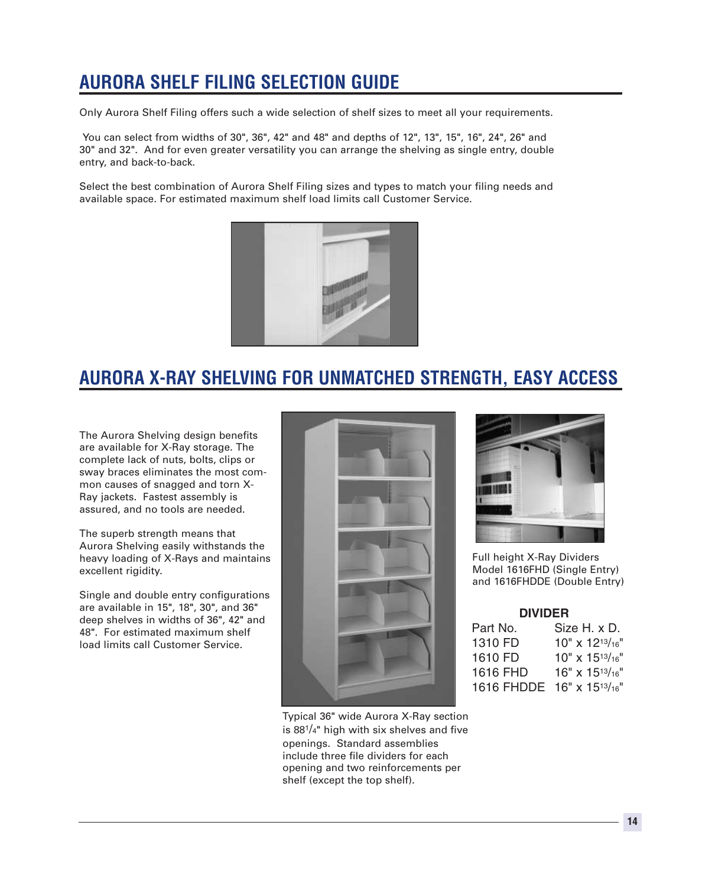# **AURORA SHELF FILING SELECTION GUIDE**

Only Aurora Shelf Filing offers such a wide selection of shelf sizes to meet all your requirements.

You can select from widths of 30", 36", 42" and 48" and depths of 12", 13", 15", 16", 24", 26" and 30" and 32". And for even greater versatility you can arrange the shelving as single entry, double entry, and back-to-back.

Select the best combination of Aurora Shelf Filing sizes and types to match your filing needs and available space. For estimated maximum shelf load limits call Customer Service.



## **AURORA X-RAY SHELVING FOR UNMATCHED STRENGTH, EASY ACCESS**

The Aurora Shelving design benefits are available for X-Ray storage. The complete lack of nuts, bolts, clips or sway braces eliminates the most common causes of snagged and torn X-Ray jackets. Fastest assembly is assured, and no tools are needed.

The superb strength means that Aurora Shelving easily withstands the heavy loading of X-Rays and maintains excellent rigidity.

Single and double entry configurations are available in 15", 18", 30", and 36" deep shelves in widths of 36", 42" and 48". For estimated maximum shelf load limits call Customer Service.



Typical 36" wide Aurora X-Ray section is  $88^{1/4}$ " high with six shelves and five openings. Standard assemblies include three file dividers for each opening and two reinforcements per shelf (except the top shelf).



Full height X-Ray Dividers Model 1616FHD (Single Entry) and 1616FHDDE (Double Entry)

### **DIVIDER**

| Part No.   | Size H. x D.               |
|------------|----------------------------|
| 1310 FD    | $10'' \times 12^{13/16''}$ |
| 1610 FD    | $10'' \times 15^{13}/16''$ |
| 1616 FHD   | 16" x 1513/16"             |
| 1616 FHDDE | 16" x 1513/16"             |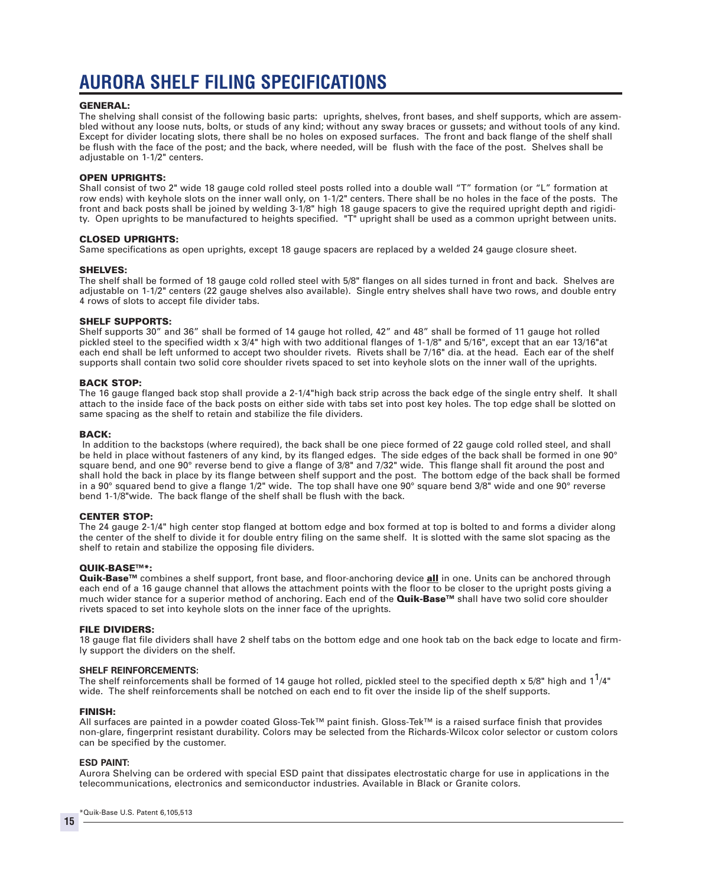# **AURORA SHELF FILING SPECIFICATIONS**

### GENERAL:

The shelving shall consist of the following basic parts: uprights, shelves, front bases, and shelf supports, which are assembled without any loose nuts, bolts, or studs of any kind; without any sway braces or gussets; and without tools of any kind. Except for divider locating slots, there shall be no holes on exposed surfaces. The front and back flange of the shelf shall be flush with the face of the post; and the back, where needed, will be flush with the face of the post. Shelves shall be adjustable on 1-1/2" centers.

### OPEN UPRIGHTS:

Shall consist of two 2" wide 18 gauge cold rolled steel posts rolled into a double wall "T" formation (or "L" formation at row ends) with keyhole slots on the inner wall only, on 1-1/2" centers. There shall be no holes in the face of the posts. The front and back posts shall be joined by welding 3-1/8" high 18 gauge spacers to give the required upright depth and rigidity. Open uprights to be manufactured to heights specified. "T" upright shall be used as a common upright between units.

### CLOSED UPRIGHTS:

Same specifications as open uprights, except 18 gauge spacers are replaced by a welded 24 gauge closure sheet.

### SHELVES:

The shelf shall be formed of 18 gauge cold rolled steel with 5/8" flanges on all sides turned in front and back. Shelves are adjustable on 1-1/2" centers (22 gauge shelves also available). Single entry shelves shall have two rows, and double entry 4 rows of slots to accept file divider tabs.

### SHELF SUPPORTS:

Shelf supports 30" and 36" shall be formed of 14 gauge hot rolled, 42" and 48" shall be formed of 11 gauge hot rolled pickled steel to the specified width x 3/4" high with two additional flanges of 1-1/8" and 5/16", except that an ear 13/16"at each end shall be left unformed to accept two shoulder rivets. Rivets shall be 7/16" dia. at the head. Each ear of the shelf supports shall contain two solid core shoulder rivets spaced to set into keyhole slots on the inner wall of the uprights.

### BACK STOP:

The 16 gauge flanged back stop shall provide a 2-1/4"high back strip across the back edge of the single entry shelf. It shall attach to the inside face of the back posts on either side with tabs set into post key holes. The top edge shall be slotted on same spacing as the shelf to retain and stabilize the file dividers.

### BACK:

In addition to the backstops (where required), the back shall be one piece formed of 22 gauge cold rolled steel, and shall be held in place without fasteners of any kind, by its flanged edges. The side edges of the back shall be formed in one 90° square bend, and one 90° reverse bend to give a flange of 3/8" and 7/32" wide. This flange shall fit around the post and shall hold the back in place by its flange between shelf support and the post. The bottom edge of the back shall be formed in a 90° squared bend to give a flange 1/2" wide. The top shall have one 90° square bend 3/8" wide and one 90° reverse bend 1-1/8"wide. The back flange of the shelf shall be flush with the back.

### CENTER STOP:

The 24 gauge 2-1/4" high center stop flanged at bottom edge and box formed at top is bolted to and forms a divider along the center of the shelf to divide it for double entry filing on the same shelf. It is slotted with the same slot spacing as the shelf to retain and stabilize the opposing file dividers.

### QUIK-BASE™\*:

Quik-Base™ combines a shelf support, front base, and floor-anchoring device all in one. Units can be anchored through each end of a 16 gauge channel that allows the attachment points with the floor to be closer to the upright posts giving a much wider stance for a superior method of anchoring. Each end of the **Quik-Base™** shall have two solid core shoulder rivets spaced to set into keyhole slots on the inner face of the uprights.

### FILE DIVIDERS:

18 gauge flat file dividers shall have 2 shelf tabs on the bottom edge and one hook tab on the back edge to locate and firmly support the dividers on the shelf.

### **SHELF REINFORCEMENTS:**

The shelf reinforcements shall be formed of 14 gauge hot rolled, pickled steel to the specified depth x 5/8" high and  $1^1/4"$ wide. The shelf reinforcements shall be notched on each end to fit over the inside lip of the shelf supports.

### FINISH:

All surfaces are painted in a powder coated Gloss-Tek™ paint finish. Gloss-Tek™ is a raised surface finish that provides non-glare, fingerprint resistant durability. Colors may be selected from the Richards-Wilcox color selector or custom colors can be specified by the customer.

### **ESD PAINT:**

Aurora Shelving can be ordered with special ESD paint that dissipates electrostatic charge for use in applications in the telecommunications, electronics and semiconductor industries. Available in Black or Granite colors.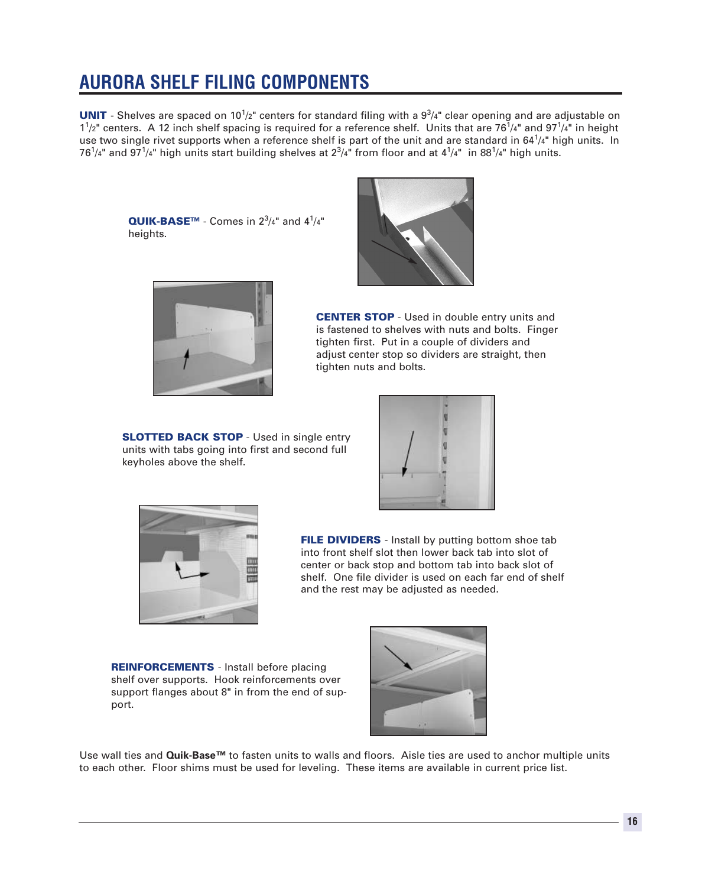# **AURORA SHELF FILING COMPONENTS**

**UNIT** - Shelves are spaced on 10<sup>1</sup>/2" centers for standard filing with a  $9<sup>3</sup>/4$ " clear opening and are adjustable on  $1^{1}/2$ " centers. A 12 inch shelf spacing is required for a reference shelf. Units that are 76 $^{1}/4$ " and 97 $^{1}/4$ " in height use two single rivet supports when a reference shelf is part of the unit and are standard in 64<sup>1</sup>/4" high units. In 76 $^1$ /4" and 97 $^1$ /4" high units start building shelves at 2 $^3$ /4" from floor and at 4 $^1$ /4"  $\,$ in 88 $^1$ /4" high units.

QUIK-BASE™ - Comes in  $2^3/4"$  and  $4^1/4"$ heights.



CENTER STOP - Used in double entry units and is fastened to shelves with nuts and bolts. Finger tighten first. Put in a couple of dividers and adjust center stop so dividers are straight, then tighten nuts and bolts.

**SLOTTED BACK STOP** - Used in single entry units with tabs going into first and second full keyholes above the shelf.





FILE DIVIDERS - Install by putting bottom shoe tab into front shelf slot then lower back tab into slot of center or back stop and bottom tab into back slot of shelf. One file divider is used on each far end of shelf and the rest may be adjusted as needed.

REINFORCEMENTS - Install before placing shelf over supports. Hook reinforcements over support flanges about 8" in from the end of support.



Use wall ties and **Quik-Base™** to fasten units to walls and floors. Aisle ties are used to anchor multiple units to each other. Floor shims must be used for leveling. These items are available in current price list.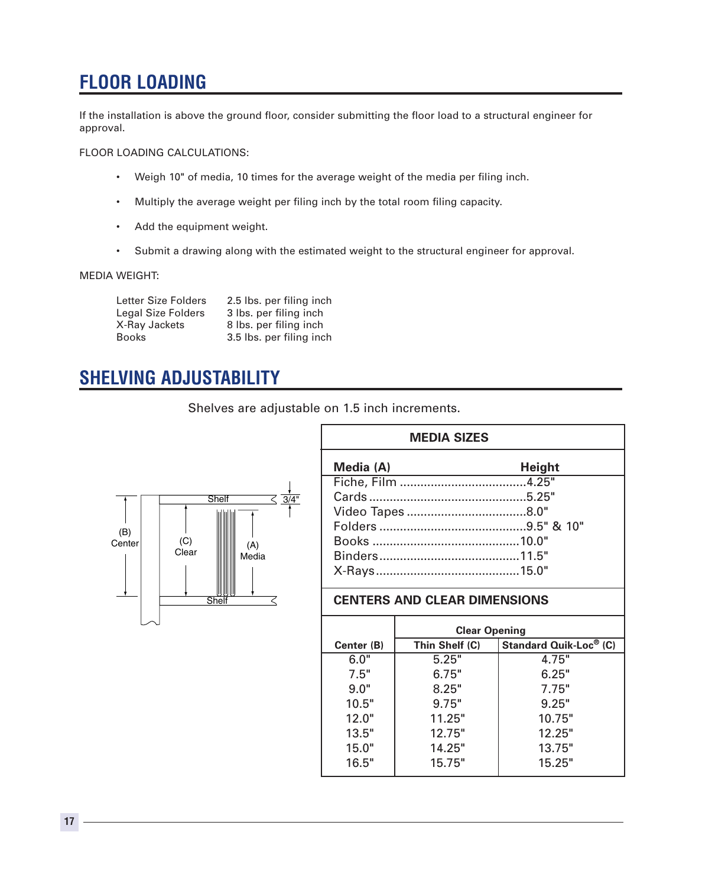# **FLOOR LOADING**

If the installation is above the ground floor, consider submitting the floor load to a structural engineer for approval.

### FLOOR LOADING CALCULATIONS:

- Weigh 10" of media, 10 times for the average weight of the media per filing inch.
- Multiply the average weight per filing inch by the total room filing capacity.
- Add the equipment weight.
- Submit a drawing along with the estimated weight to the structural engineer for approval.

### MEDIA WEIGHT:

| <b>Letter Size Folders</b> | 2.5 lbs. per filing inch |
|----------------------------|--------------------------|
| <b>Legal Size Folders</b>  | 3 lbs. per filing inch   |
| X-Ray Jackets              | 8 lbs. per filing inch   |
| <b>Books</b>               | 3.5 lbs. per filing inch |

## **SHELVING ADJUSTABILITY**

Shelves are adjustable on 1.5 inch increments.



| <b>MEDIA SIZES</b> |               |  |
|--------------------|---------------|--|
| Media (A)          | <b>Height</b> |  |
|                    |               |  |
|                    |               |  |
|                    |               |  |
|                    |               |  |
|                    |               |  |
|                    |               |  |
|                    |               |  |

### **CENTERS AND CLEAR DIMENSIONS**

| <b>Clear Opening</b> |                               |  |
|----------------------|-------------------------------|--|
| Thin Shelf (C)       | <b>Standard Quik-Loc® (C)</b> |  |
| 5.25"                | 4.75"                         |  |
| 6.75"                | 6.25"                         |  |
| 8.25"                | 7.75"                         |  |
| 9.75"                | 9.25"                         |  |
| 11.25"               | 10.75"                        |  |
| 12.75"               | 12.25"                        |  |
| 14.25"               | 13.75"                        |  |
| 15.75"               | 15.25"                        |  |
|                      |                               |  |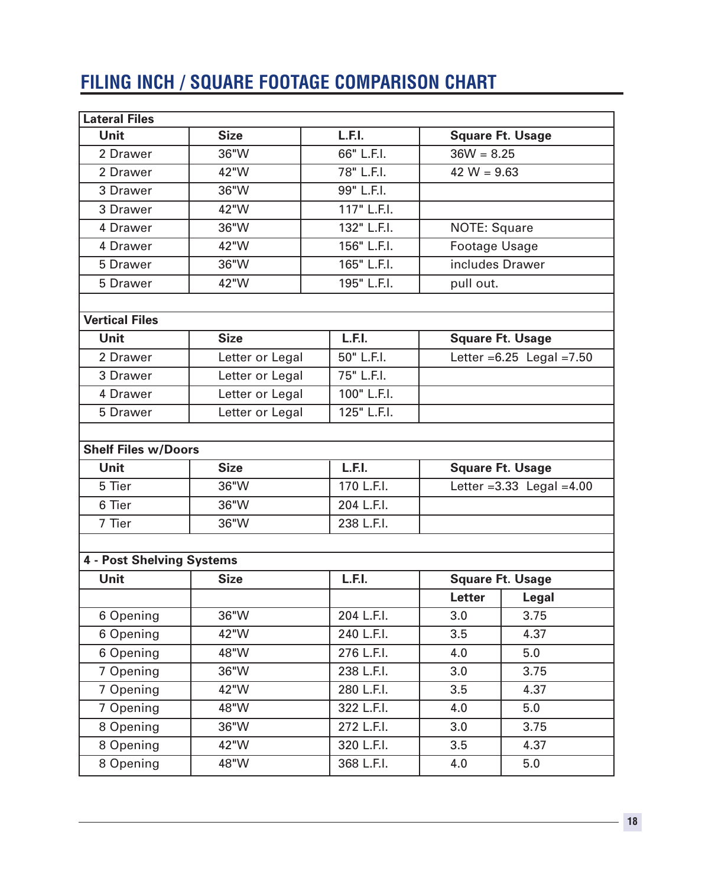# **FILING INCH / SQUARE FOOTAGE COMPARISON CHART**

| <b>Lateral Files</b>             |                 |             |                                |                              |  |
|----------------------------------|-----------------|-------------|--------------------------------|------------------------------|--|
| <b>Unit</b>                      | <b>Size</b>     | L.F.I.      |                                | <b>Square Ft. Usage</b>      |  |
| 2 Drawer                         | 36"W            | 66" L.F.I.  |                                | $36W = 8.25$                 |  |
| 2 Drawer                         | 42"W            | 78" L.F.I.  |                                | 42 $W = 9.63$                |  |
| 3 Drawer                         | 36"W            | 99" L.F.I.  |                                |                              |  |
| 3 Drawer                         | 42"W            | 117" L.F.I. |                                |                              |  |
| 4 Drawer                         | 36"W            | 132" L.F.I. | <b>NOTE: Square</b>            |                              |  |
| 4 Drawer                         | 42"W            | 156" L.F.I. |                                | <b>Footage Usage</b>         |  |
| 5 Drawer                         | 36"W            | 165" L.F.I. |                                | includes Drawer              |  |
| 5 Drawer                         | 42"W            | 195" L.F.I. | pull out.                      |                              |  |
|                                  |                 |             |                                |                              |  |
| <b>Vertical Files</b>            |                 |             |                                |                              |  |
| <b>Unit</b>                      | <b>Size</b>     | L.F.I.      |                                | <b>Square Ft. Usage</b>      |  |
| 2 Drawer                         | Letter or Legal | 50" L.F.I.  |                                | Letter $=6.25$ Legal $=7.50$ |  |
| 3 Drawer                         | Letter or Legal | 75" L.F.I.  |                                |                              |  |
| 4 Drawer                         | Letter or Legal | 100" L.F.I. |                                |                              |  |
| 5 Drawer                         | Letter or Legal | 125" L.F.I. |                                |                              |  |
|                                  |                 |             |                                |                              |  |
| <b>Shelf Files w/Doors</b>       |                 |             |                                |                              |  |
| <b>Unit</b>                      | <b>Size</b>     | L.F.I.      |                                | <b>Square Ft. Usage</b>      |  |
| 5 Tier                           | 36"W            | 170 L.F.I.  | Letter = $3.33$ Legal = $4.00$ |                              |  |
| 6 Tier                           | 36"W            | 204 L.F.I.  |                                |                              |  |
| 7 Tier                           | 36"W            | 238 L.F.I.  |                                |                              |  |
|                                  |                 |             |                                |                              |  |
| <b>4 - Post Shelving Systems</b> |                 |             |                                |                              |  |
| <b>Unit</b>                      | <b>Size</b>     | L.F.I.      | <b>Square Ft. Usage</b>        |                              |  |
|                                  |                 |             | <b>Letter</b>                  | Legal                        |  |
| 6 Opening                        | 36"W            | 204 L.F.I.  | 3.0                            | 3.75                         |  |
| 6 Opening                        | 42"W            | 240 L.F.I.  | 3.5                            | 4.37                         |  |
| 6 Opening                        | 48"W            | 276 L.F.I.  | 4.0                            | 5.0                          |  |
| 7 Opening                        | 36"W            | 238 L.F.I.  | 3.0                            | 3.75                         |  |
| 7 Opening                        | 42"W            | 280 L.F.I.  | 3.5                            | 4.37                         |  |
| 7 Opening                        | 48"W            | 322 L.F.I.  | 4.0                            | 5.0                          |  |
| 8 Opening                        | 36"W            | 272 L.F.I.  | 3.0                            | 3.75                         |  |
| 8 Opening                        | 42"W            | 320 L.F.I.  | 3.5                            | 4.37                         |  |
| 8 Opening                        | 48"W            | 368 L.F.I.  | 4.0                            | 5.0                          |  |